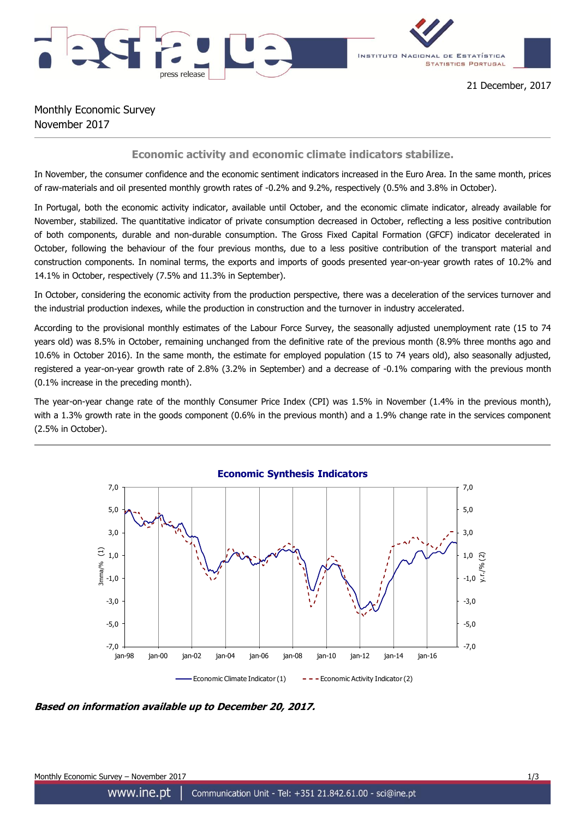



## Monthly Economic Survey November 2017

## **Economic activity and economic climate indicators stabilize.**

In November, the consumer confidence and the economic sentiment indicators increased in the Euro Area. In the same month, prices of raw-materials and oil presented monthly growth rates of -0.2% and 9.2%, respectively (0.5% and 3.8% in October).

In Portugal, both the economic activity indicator, available until October, and the economic climate indicator, already available for November, stabilized. The quantitative indicator of private consumption decreased in October, reflecting a less positive contribution of both components, durable and non-durable consumption. The Gross Fixed Capital Formation (GFCF) indicator decelerated in October, following the behaviour of the four previous months, due to a less positive contribution of the transport material and construction components. In nominal terms, the exports and imports of goods presented year-on-year growth rates of 10.2% and 14.1% in October, respectively (7.5% and 11.3% in September).

In October, considering the economic activity from the production perspective, there was a deceleration of the services turnover and the industrial production indexes, while the production in construction and the turnover in industry accelerated.

According to the provisional monthly estimates of the Labour Force Survey, the seasonally adjusted unemployment rate (15 to 74 years old) was 8.5% in October, remaining unchanged from the definitive rate of the previous month (8.9% three months ago and 10.6% in October 2016). In the same month, the estimate for employed population (15 to 74 years old), also seasonally adjusted, registered a year-on-year growth rate of 2.8% (3.2% in September) and a decrease of -0.1% comparing with the previous month (0.1% increase in the preceding month).

The year-on-year change rate of the monthly Consumer Price Index (CPI) was 1.5% in November (1.4% in the previous month), with a 1.3% growth rate in the goods component (0.6% in the previous month) and a 1.9% change rate in the services component (2.5% in October).



**Based on information available up to December 20, 2017.**

Monthly Economic Survey – November 2017 1/3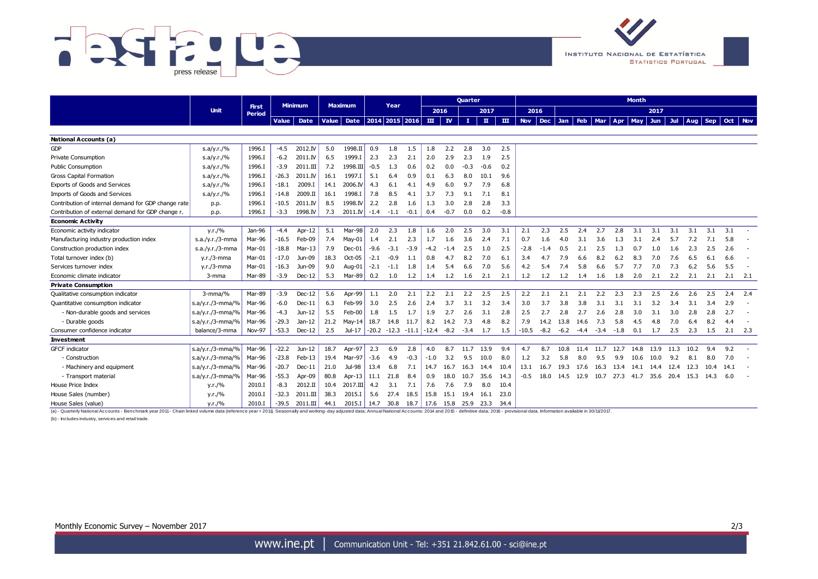



|                                                                                                                                                                                                                                                                                       | <b>Unit</b>        |                        |              |                |              |                |        |                           | <b>Quarter</b> |         |           |        |              | <b>Month</b> |             |        |        |            |            |        |            |      |      |                 |      |      |         |
|---------------------------------------------------------------------------------------------------------------------------------------------------------------------------------------------------------------------------------------------------------------------------------------|--------------------|------------------------|--------------|----------------|--------------|----------------|--------|---------------------------|----------------|---------|-----------|--------|--------------|--------------|-------------|--------|--------|------------|------------|--------|------------|------|------|-----------------|------|------|---------|
|                                                                                                                                                                                                                                                                                       |                    | <b>First</b><br>Period |              | <b>Minimum</b> |              | <b>Maximum</b> |        | Year                      |                |         | 2016      |        | 2017         |              | 2016        |        |        |            |            |        | 2017       |      |      |                 |      |      |         |
|                                                                                                                                                                                                                                                                                       |                    |                        | <b>Value</b> | Date           | <b>Value</b> |                |        | Date   2014   2015   2016 |                |         | $III$ $N$ | T.     | $\mathbf{u}$ | $\mathbf{m}$ | Nov Dec Jan |        |        | <b>Feb</b> | <b>Mar</b> | Apr    | <b>May</b> | Jun  |      | Jul   Aug   Sep |      |      | Oct Nov |
|                                                                                                                                                                                                                                                                                       |                    |                        |              |                |              |                |        |                           |                |         |           |        |              |              |             |        |        |            |            |        |            |      |      |                 |      |      |         |
| <b>National Accounts (a)</b>                                                                                                                                                                                                                                                          |                    |                        |              |                |              |                |        |                           |                |         |           |        |              |              |             |        |        |            |            |        |            |      |      |                 |      |      |         |
| <b>GDP</b>                                                                                                                                                                                                                                                                            | s.a/y.r./%         | 1996.I                 | $-4.5$       | 2012.IV        | 5.0          | 1998.II        | 0.9    | 1.8                       | 1.5            | 1.8     | 2.2       | 2.8    | 3.0          | 2.5          |             |        |        |            |            |        |            |      |      |                 |      |      |         |
| Private Consumption                                                                                                                                                                                                                                                                   | s.a/y.r./%         | 1996.I                 | $-6.2$       | 2011.IV        | 6.5          | 1999.I         | 2.3    | 2.3                       | 2.1            | 2.0     | 2.9       | 2.3    | 1.9          | 2.5          |             |        |        |            |            |        |            |      |      |                 |      |      |         |
| <b>Public Consumption</b>                                                                                                                                                                                                                                                             | s.a/y.r./%         | 1996.I                 | $-3.9$       | 2011.III       | 7.2          | 1998.III       | $-0.5$ | 1.3                       | 0.6            | 0.2     | 0.0       | $-0.3$ | $-0.6$       | 0.2          |             |        |        |            |            |        |            |      |      |                 |      |      |         |
| <b>Gross Capital Formation</b>                                                                                                                                                                                                                                                        | s.a/y.r./%         | 1996.I                 | $-26.3$      | 2011.IV        | 16.1         | 1997.I         | 5.1    | 6.4                       | 0.9            | 0.1     | 6.3       | 8.0    | 10.1         | 9.6          |             |        |        |            |            |        |            |      |      |                 |      |      |         |
| Exports of Goods and Services                                                                                                                                                                                                                                                         | s.a/y.r./%         | 1996.I                 | $-18.1$      | 2009.I         | 14.1         | 2006.IV        | 4.3    | 6.1                       | 4.1            | 4.9     | 6.0       | 9.7    | 7.9          | 6.8          |             |        |        |            |            |        |            |      |      |                 |      |      |         |
| Imports of Goods and Services                                                                                                                                                                                                                                                         | s.a/y.r./%         | 1996.I                 | $-14.8$      | 2009.II        | 16.1         | 1998.I         | 7.8    | 8.5                       | 4.1            | 3.7     | 7.3       | 9.1    | 7.1          | 8.1          |             |        |        |            |            |        |            |      |      |                 |      |      |         |
| Contribution of internal demand for GDP change rate                                                                                                                                                                                                                                   | p.p.               | 1996.I                 | $-10.5$      | 2011.IV        | 8.5          | 1998.IV        | 2.2    | 2.8                       | 1.6            | 1.3     | 3.0       | 2.8    | 2.8          | 3.3          |             |        |        |            |            |        |            |      |      |                 |      |      |         |
| Contribution of external demand for GDP change r.                                                                                                                                                                                                                                     | p.p.               | 1996.I                 | $-3.3$       | 1998.IV        | 7.3          | 2011.IV        | $-1.4$ | $-1.1$                    | $-0.1$         | 0.4     | $-0.7$    | 0.0    | 0.2          | $-0.8$       |             |        |        |            |            |        |            |      |      |                 |      |      |         |
| <b>Economic Activity</b>                                                                                                                                                                                                                                                              |                    |                        |              |                |              |                |        |                           |                |         |           |        |              |              |             |        |        |            |            |        |            |      |      |                 |      |      |         |
| Economic activity indicator                                                                                                                                                                                                                                                           | y.r./%             | Jan-96                 | $-4.4$       | Apr-12         | 5.1          | Mar-98         | 2.0    | 2.3                       | 1.8            | 1.6     | 2.0       | 2.5    | 3.0          | 3.1          | 2.1         | 2.3    | 2.5    | 2.4        | 2.7        | 2.8    | 3.1        | 3.1  | 3.1  | 3.1             | 3.1  | 3.1  |         |
| Manufacturing industry production index                                                                                                                                                                                                                                               | $s.a./y.r./3-mma$  | Mar-96                 | $-16.5$      | Feb-09         | 7.4          | $May-01$       | 1.4    | 2.1                       | 2.3            | 1.7     | 1.6       | 3.6    | 2.4          | 7.1          | 0.7         | 1.6    | 4.0    | 3.1        | 3.6        | 1.3    | 3.1        | 2.4  | 5.7  | 7.2             | 7.1  | 5.8  |         |
| Construction production index                                                                                                                                                                                                                                                         | $s.a./y.r./3-mma$  | Mar-01                 | $-18.8$      | $Mar-13$       | 7.9          | $Dec-01$       | $-9.6$ | $-3.1$                    | $-3.9$         | -4.2    | $-1.4$    | 2.5    | 1.0          | 2.5          | $-2.8$      | -1.4   | 0.5    | 2.1        | 2.5        | 1.3    | 0.7        | 1.0  | 1.6  | 2.3             | 2.5  | 2.6  |         |
| Total turnover index (b)                                                                                                                                                                                                                                                              | $y.r./3$ -mma      | Mar-01                 | $-17.0$      | Jun-09         | 18.3         | Oct-05         | $-2.1$ | $-0.9$                    | 1.1            | 0.8     | 4.7       | 8.2    | 7.0          | 6.1          | 3.4         | 4.7    | 7.9    | 6.6        | 8.2        | 6.2    | 8.3        | 7.0  | 7.6  | 6.5             | 6.1  | 6.6  |         |
| Services turnover index                                                                                                                                                                                                                                                               | $y.r./3$ -mma      | Mar-01                 | $-16.3$      | Jun-09         | 9.0          | Aug-01         | $-2.1$ | $-1.1$                    | 1.8            | 1.4     | 5.4       | 6.6    | 7.0          | 5.6          | 4.2         | 5.4    | 7.4    | 5.8        | 6.6        | 5.7    | 7.7        | 7.0  | 7.3  | 6.2             | 5.6  | 5.5  |         |
| Economic climate indicator                                                                                                                                                                                                                                                            | $3$ -mma           | Mar-89                 | $-3.9$       | $Dec-12$       | 5.3          | Mar-89         | 0.2    | 1.0                       | 1.2            | 1.4     | 1.2       | 1.6    | 2.1          | 2.1          | 1.2         | 1.2    | 1.2    | 1.4        | 1.6        | 1.8    | 2.0        | 2.1  | 2.2  | 2.1             | 2.1  | 2.1  | -2.1    |
| <b>Private Consumption</b>                                                                                                                                                                                                                                                            |                    |                        |              |                |              |                |        |                           |                |         |           |        |              |              |             |        |        |            |            |        |            |      |      |                 |      |      |         |
| Qualitative consumption indicator                                                                                                                                                                                                                                                     | $3$ -mma/%         | Mar-89                 | $-3.9$       | $Dec-12$       | 5.6          | Apr-99         | 1.1    | 2.0                       | 2.1            | 2.2     | 2.1       | 2.2    | 2.5          | 2.5          | 2.2         | 2.1    | 2.1    | 2.1        | 2.2        | 2.3    | 2.3        | 2.5  | 2.6  | 2.6             | 2.5  | 2.4  | 2.4     |
| Quantitative consumption indicator                                                                                                                                                                                                                                                    | s.a/y.r./3-mma/%   | Mar-96                 | $-6.0$       | $Dec-11$       | 6.3          | Feb-99         | 3.0    | 2.5                       | 2.6            | 2.4     | 3.7       | 3.1    | 3.2          | 3.4          | 3.0         | 3.7    | 3.8    | 3.8        | 3.1        | 3.1    | 3.1        | 3.2  | 3.4  | 3.1             | 3.4  | 2.9  |         |
| - Non-durable goods and services                                                                                                                                                                                                                                                      | $s.a/y.r./3-mma/%$ | Mar-96                 | $-4.3$       | Jun-12         | 5.5          | Feb-00         | 1.8    | $1.5\,$                   | 1.7            | 1.9     | 2.7       | 2.6    | 3.1          | 2.8          | 2.5         | 2.7    | 2.8    | 2.7        | 2.6        | 2.8    | 3.0        | 3.1  | 3.0  | 2.8             | 2.8  | 2.7  |         |
| - Durable goods                                                                                                                                                                                                                                                                       | s.a/y.r./3-mma/%   | Mar-96                 | $-29.3$      | $Jan-12$       | 21.2         | Mav-14         | 18.7   | 14.8                      | 11.7           | 8.2     | 14.2      | 7.3    | 4.8          | 8.2          | 7.9         | 14.2   | 13.8   | 14.6       | 7.3        | 5.8    | 4.5        | 4.8  | 7.0  | 6.4             | 8.2  | 4.4  |         |
| Consumer confidence indicator                                                                                                                                                                                                                                                         | balance/3-mma      | Nov-97                 | $-53.3$      | $Dec-12$       | 2.5          | Jul-17         |        | $-20.2 -12.3$             | $-11.1$        | $-12.4$ | -8.2      | $-3.4$ | 1.7          | 1.5          | $-10.5$     | $-8.2$ | $-6.2$ | -4.4       | $-3.4$     | $-1.8$ | 0.1        | 1.7  | 2.5  | 2.3             | 1.5  | 2.1  | 2.3     |
| <b>Investment</b>                                                                                                                                                                                                                                                                     |                    |                        |              |                |              |                |        |                           |                |         |           |        |              |              |             |        |        |            |            |        |            |      |      |                 |      |      |         |
| <b>GFCF</b> indicator                                                                                                                                                                                                                                                                 | s.a/y.r./3-mma/%   | Mar-96                 | $-22.2$      | Jun-12         | 18.7         | Apr-97         | 2.3    | 6.9                       | 2.8            | 4.0     | 8.7       | 11.7   | 13.9         | 9.4          | 4.7         | 8.7    | 10.8   | 11.4       | 11.7       | 12.7   | 14.8       | 13.9 | 11.3 | 10.2            | 9.4  | 9.2  |         |
| - Construction                                                                                                                                                                                                                                                                        | $s.a/y.r./3-mma/%$ | Mar-96                 | $-23.8$      | Feb-13         | 19.4         | Mar-97         | $-3.6$ | 4.9                       | $-0.3$         | -1.0    | 3.2       | 9.5    | 10.0         | 8.0          | 1.2         | 3.2    | 5.8    | 8.0        | 9.5        | 9.9    | 10.6       | 10.0 | 9.2  | 8.1             | 8.0  | 7.0  |         |
| - Machinery and equipment                                                                                                                                                                                                                                                             | s.a/y.r./3-mma/%   | Mar-96                 | $-20.7$      | $Dec-11$       | 21.0         | Jul-98         | 13.4   | 6.8                       | 7.1            | 14.7    | 16.7      | 16.3   | 14.4         | 10.4         | 13.1        | 16.7   | 19.3   | 17.6       | 16.3       | 13.4   | 14.1       | 14.4 | 12.4 | 12.3            | 10.4 | 14.1 |         |
| - Transport material                                                                                                                                                                                                                                                                  | $s.a/y.r./3-mma/%$ | Mar-96                 | $-55.3$      | Apr-09         | 80.8         | Apr-13         | 11.1   | 21.8                      | 8.4            | 0.9     | 18.0      | 10.7   | 35.6         | 14.3         | -0.5        | 18.0   | 14.5   | 12.9       | 10.7       | 27.3   | 41.7       | 35.6 | 20.4 | 15.3            | 14.3 | 6.0  |         |
| House Price Index                                                                                                                                                                                                                                                                     | y.r./%             | 2010.I                 | $-8.3$       | 2012.II        | 10.4         | $2017.$ III    | 4.2    | 3.1                       | 7.1            | 7.6     | 7.6       | 7.9    | 8.0          | 10.4         |             |        |        |            |            |        |            |      |      |                 |      |      |         |
| House Sales (number)                                                                                                                                                                                                                                                                  | y.r./%             | 2010.I                 | $-32.3$      | 2011.III       | 38.3         | 2015.I         | 5.6    | 27.4                      | 18.5           | 15.8    | 15.1      | 19.4   | 16.1         | 23.0         |             |        |        |            |            |        |            |      |      |                 |      |      |         |
| House Sales (value)                                                                                                                                                                                                                                                                   | y.r./%             | 2010.I                 | $-39.5$      | 2011.III       | 44.1         | 2015.I         | 14.7   | 30.8                      | 18.7           | 17.6    | 15.8      | 25.9   | 23.3         | -34.4        |             |        |        |            |            |        |            |      |      |                 |      |      |         |
| (a) - Quarterly National Accounts - Benchmark year 2011 - Chain linked volume data (reference year = 2011). Seasonally and working-day adjusted data; Annual National Accounts: 2014 and 2015 - definitive data; 2016 - provis<br>(b) - Includes industry, services and retail trade. |                    |                        |              |                |              |                |        |                           |                |         |           |        |              |              |             |        |        |            |            |        |            |      |      |                 |      |      |         |